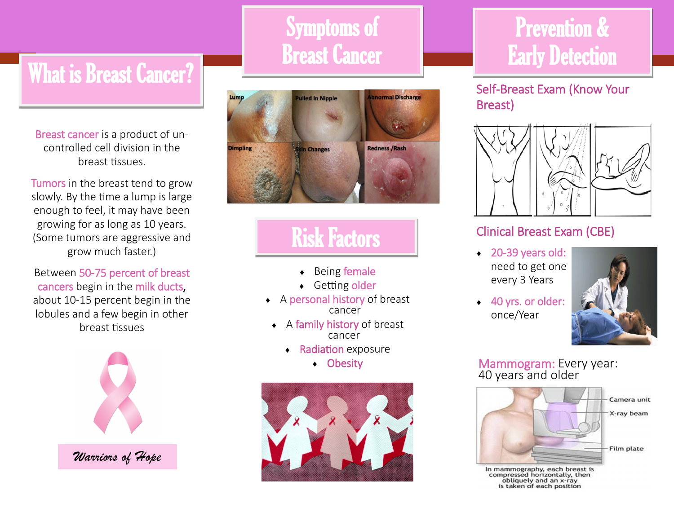# What is Breast Cancer?

j

Breast cancer is a product of uncontrolled cell division in the breast tissues.

Tumors in the breast tend to grow slowly. By the time a lump is large enough to feel, it may have been growing for as long as 10 years. (Some tumors are aggressive and grow much faster.)

Between 50-75 percent of breast cancers begin in the milk ducts, about 10-15 percent begin in the lobules and a few begin in other breast tissues



## Symptoms of Breast Cancer



## Risk Factors

- ◆ Being female
- ◆ Getting older
- A personal history of breast cancer
	- A family history of breast cancer
		- **Radiation exposure** 
			- Obesity



## Prevention & Early Detection

Self-Breast Exam (Know Your Breast)



### Clinical Breast Exam (CBE)

- ◆ 20-39 years old: need to get one every 3 Years
- ◆ 40 yrs. or older: once/Year



#### Mammogram: Every year: 40 years and older



In mammography, each breast is<br>compressed horizontally, then<br>obliquely and an x-ray<br>is taken of each position